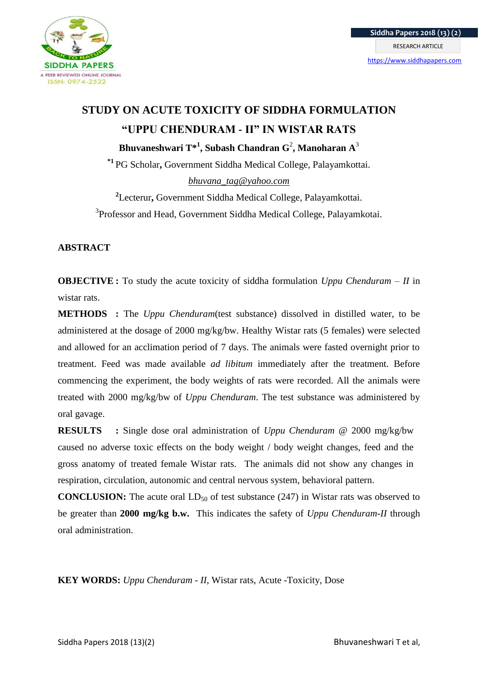

# **STUDY ON ACUTE TOXICITY OF SIDDHA FORMULATION "UPPU CHENDURAM - II" IN WISTAR RATS Bhuvaneshwari T\*<sup>1</sup> , Subash Chandran G**<sup>2</sup> **, Manoharan A**<sup>3</sup>

**\*1** PG Scholar**,** Government Siddha Medical College, Palayamkottai. *bhuvana\_tag@yahoo.com*

**2** Lecterur**,** Government Siddha Medical College, Palayamkottai. <sup>3</sup>Professor and Head, Government Siddha Medical College, Palayamkotai.

## **ABSTRACT**

**OBJECTIVE :** To study the acute toxicity of siddha formulation *Uppu Chenduram – II* in wistar rats.

**METHODS :** The *Uppu Chenduram*(test substance) dissolved in distilled water, to be administered at the dosage of 2000 mg/kg/bw. Healthy Wistar rats (5 females) were selected and allowed for an acclimation period of 7 days. The animals were fasted overnight prior to treatment. Feed was made available *ad libitum* immediately after the treatment. Before commencing the experiment, the body weights of rats were recorded. All the animals were treated with 2000 mg/kg/bw of *Uppu Chenduram*. The test substance was administered by oral gavage.

**RESULTS :** Single dose oral administration of *Uppu Chenduram* @ 2000 mg/kg/bw caused no adverse toxic effects on the body weight / body weight changes, feed and the gross anatomy of treated female Wistar rats. The animals did not show any changes in respiration, circulation, autonomic and central nervous system, behavioral pattern.

**CONCLUSION:** The acute oral LD<sub>50</sub> of test substance (247) in Wistar rats was observed to be greater than **2000 mg/kg b.w.** This indicates the safety of *Uppu Chenduram-II* through oral administration.

**KEY WORDS:** *Uppu Chenduram - II*, Wistar rats, Acute -Toxicity, Dose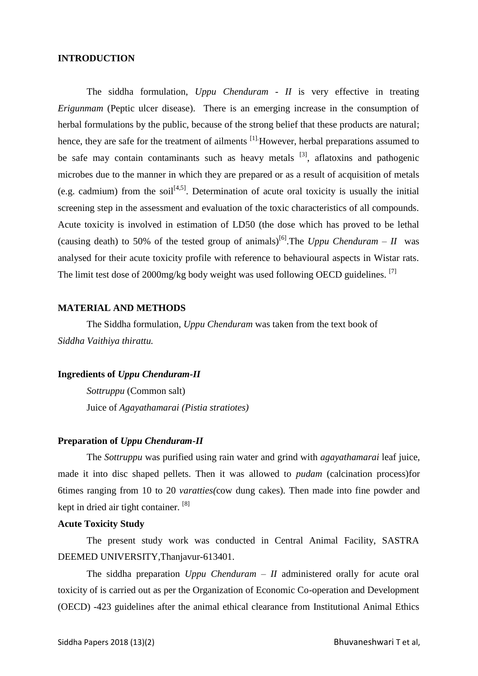## **INTRODUCTION**

The siddha formulation, *Uppu Chenduram - II* is very effective in treating *Erigunmam* (Peptic ulcer disease). There is an emerging increase in the consumption of herbal formulations by the public, because of the strong belief that these products are natural; hence, they are safe for the treatment of ailments  $^{[1]}$ . However, herbal preparations assumed to be safe may contain contaminants such as heavy metals  $[3]$ , aflatoxins and pathogenic microbes due to the manner in which they are prepared or as a result of acquisition of metals (e.g. cadmium) from the soil<sup>[4,5]</sup>. Determination of acute oral toxicity is usually the initial screening step in the assessment and evaluation of the toxic characteristics of all compounds. Acute toxicity is involved in estimation of LD50 (the dose which has proved to be lethal (causing death) to 50% of the tested group of animals)<sup>[6]</sup>. The *Uppu Chenduram – II* was analysed for their acute toxicity profile with reference to behavioural aspects in Wistar rats. The limit test dose of 2000mg/kg body weight was used following OECD guidelines. [7]

#### **MATERIAL AND METHODS**

The Siddha formulation, *Uppu Chenduram* was taken from the text book of *Siddha Vaithiya thirattu.*

## **Ingredients of** *Uppu Chenduram-II*

*Sottruppu* (Common salt) Juice of *Agayathamarai (Pistia stratiotes)*

## **Preparation of** *Uppu Chenduram-II*

The *Sottruppu* was purified using rain water and grind with *agayathamarai* leaf juice, made it into disc shaped pellets. Then it was allowed to *pudam* (calcination process)for 6times ranging from 10 to 20 *varatties(*cow dung cakes)*.* Then made into fine powder and kept in dried air tight container. <sup>[8]</sup>

## **Acute Toxicity Study**

The present study work was conducted in Central Animal Facility, SASTRA DEEMED UNIVERSITY,Thanjavur-613401.

The siddha preparation *Uppu Chenduram – II* administered orally for acute oral toxicity of is carried out as per the Organization of Economic Co-operation and Development (OECD) -423 guidelines after the animal ethical clearance from Institutional Animal Ethics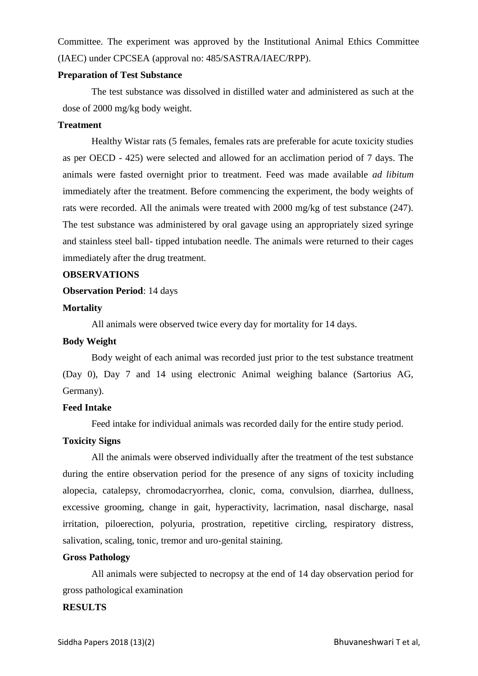Committee. The experiment was approved by the Institutional Animal Ethics Committee (IAEC) under CPCSEA (approval no: 485/SASTRA/IAEC/RPP).

#### **Preparation of Test Substance**

The test substance was dissolved in distilled water and administered as such at the dose of 2000 mg/kg body weight.

#### **Treatment**

Healthy Wistar rats (5 females, females rats are preferable for acute toxicity studies as per OECD - 425) were selected and allowed for an acclimation period of 7 days. The animals were fasted overnight prior to treatment. Feed was made available *ad libitum* immediately after the treatment. Before commencing the experiment, the body weights of rats were recorded. All the animals were treated with 2000 mg/kg of test substance (247). The test substance was administered by oral gavage using an appropriately sized syringe and stainless steel ball- tipped intubation needle. The animals were returned to their cages immediately after the drug treatment.

#### **OBSERVATIONS**

#### **Observation Period**: 14 days

#### **Mortality**

All animals were observed twice every day for mortality for 14 days.

#### **Body Weight**

Body weight of each animal was recorded just prior to the test substance treatment (Day 0), Day 7 and 14 using electronic Animal weighing balance (Sartorius AG, Germany).

#### **Feed Intake**

Feed intake for individual animals was recorded daily for the entire study period.

## **Toxicity Signs**

All the animals were observed individually after the treatment of the test substance during the entire observation period for the presence of any signs of toxicity including alopecia, catalepsy, chromodacryorrhea, clonic, coma, convulsion, diarrhea, dullness, excessive grooming, change in gait, hyperactivity, lacrimation, nasal discharge, nasal irritation, piloerection, polyuria, prostration, repetitive circling, respiratory distress, salivation, scaling, tonic, tremor and uro-genital staining.

#### **Gross Pathology**

All animals were subjected to necropsy at the end of 14 day observation period for gross pathological examination

## **RESULTS**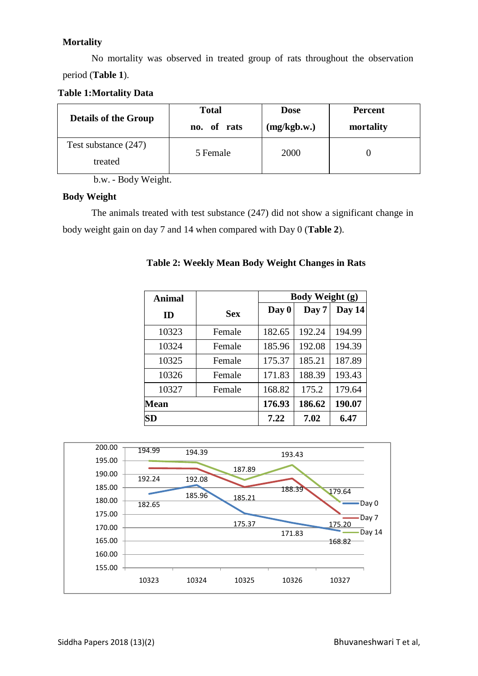## **Mortality**

No mortality was observed in treated group of rats throughout the observation period (**Table 1**).

**Table 1:Mortality Data**

| <b>Details of the Group</b>     | <b>Total</b> | <b>Dose</b> | <b>Percent</b> |
|---------------------------------|--------------|-------------|----------------|
|                                 | no. of rats  | (mg/kgb.w.) | mortality      |
| Test substance (247)<br>treated | 5 Female     | 2000        |                |

b.w. - Body Weight.

## **Body Weight**

The animals treated with test substance (247) did not show a significant change in body weight gain on day 7 and 14 when compared with Day 0 (**Table 2**).

| <b>Animal</b> |            | <b>Body Weight (g)</b> |        |        |  |  |  |  |  |
|---------------|------------|------------------------|--------|--------|--|--|--|--|--|
| ID            | <b>Sex</b> | Day 0                  | Day 7  | Day 14 |  |  |  |  |  |
| 10323         | Female     | 182.65                 | 192.24 | 194.99 |  |  |  |  |  |
| 10324         | Female     | 185.96                 | 192.08 | 194.39 |  |  |  |  |  |
| 10325         | Female     | 175.37                 | 185.21 | 187.89 |  |  |  |  |  |
| 10326         | Female     | 171.83                 | 188.39 | 193.43 |  |  |  |  |  |
| 10327         | Female     | 168.82                 | 175.2  | 179.64 |  |  |  |  |  |
| <b>Mean</b>   |            | 176.93                 | 186.62 | 190.07 |  |  |  |  |  |
| SD            |            | 7.22                   | 7.02   | 6.47   |  |  |  |  |  |

**Table 2: Weekly Mean Body Weight Changes in Rats**

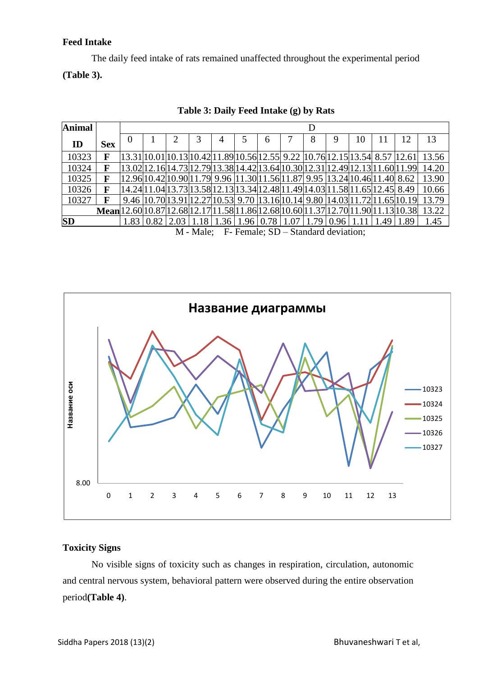## **Feed Intake**

The daily feed intake of rats remained unaffected throughout the experimental period **(Table 3).**

| <b>Animal</b> |                                                                                              | D        |  |   |                                                                                                                           |  |  |   |  |   |    |                                                                                 |       |
|---------------|----------------------------------------------------------------------------------------------|----------|--|---|---------------------------------------------------------------------------------------------------------------------------|--|--|---|--|---|----|---------------------------------------------------------------------------------|-------|
| ID            | <b>Sex</b>                                                                                   | $\Omega$ |  | 2 | 3                                                                                                                         |  |  | 6 |  | 8 | 10 |                                                                                 | 13    |
| 10323         | $\mathbf{F}$                                                                                 |          |  |   |                                                                                                                           |  |  |   |  |   |    | 13.31 10.01 10.13 10.42 11.89 10.56 12.55  9.22  10.76 12.15 13.54  8.57  12.61 | 13.56 |
| 10324         | F                                                                                            |          |  |   |                                                                                                                           |  |  |   |  |   |    | 13.02 12.16 14.73 12.79 13.38 14.42 13.64 10.30 12.31 12.49 12.13 11.60 11.99   | 14.20 |
| 10325         | F                                                                                            |          |  |   | 12.96 10.42 10.90 11.79  9.96  11.30 11.56 11.87  9.95  13.24 10.46 11.40  8.62                                           |  |  |   |  |   |    |                                                                                 | 13.90 |
| 10326         | F                                                                                            |          |  |   | 14.24 11.04 13.73 13.58 12.13 13.34 12.48 11.49 14.03 11.58 11.65 12.45  8.49                                             |  |  |   |  |   |    |                                                                                 | 10.66 |
| 10327         | F                                                                                            |          |  |   |                                                                                                                           |  |  |   |  |   |    | 9.46 10.70 13.91 12.27 10.53 9.70 13.16 10.14 9.80 14.03 11.72 11.65 10.19      | 13.79 |
|               | <b>Mean</b> $12.60 10.87 12.68 12.17 11.58 11.86 12.68 10.60 11.37 12.70 11.90 11.13 10.38 $ |          |  |   |                                                                                                                           |  |  |   |  |   |    |                                                                                 | 13.22 |
| <b>SD</b>     |                                                                                              |          |  |   | $1.83 \mid 0.82 \mid 2.03 \mid 1.18 \mid 1.36 \mid 1.96 \mid 0.78 \mid 1.07 \mid 1.79 \mid 0.96 \mid 1.11 \mid 1.49 \mid$ |  |  |   |  |   |    | 1.89                                                                            | 1.45  |
|               | M Male: E Equato CD Chard deviation                                                          |          |  |   |                                                                                                                           |  |  |   |  |   |    |                                                                                 |       |

**Table 3: Daily Feed Intake (g) by Rats**

M - Male; F- Female; SD – Standard deviation;



## **Toxicity Signs**

No visible signs of toxicity such as changes in respiration, circulation, autonomic and central nervous system, behavioral pattern were observed during the entire observation period**(Table 4)**.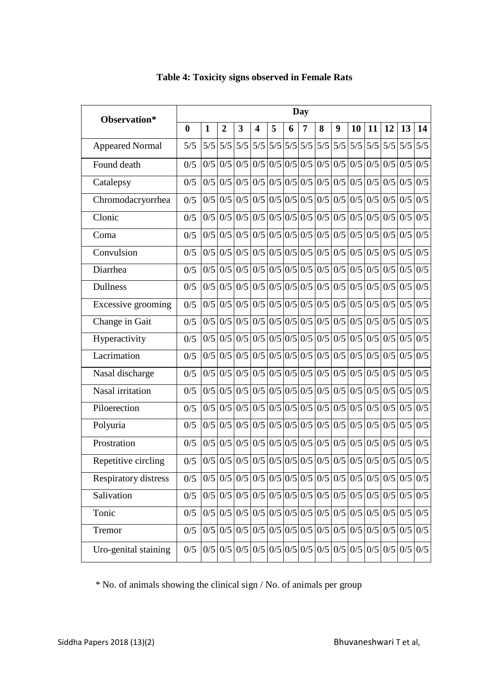| Observation*                | <b>Day</b>       |              |                |             |                         |                                     |   |   |                                                                                                                       |     |     |           |     |               |                  |
|-----------------------------|------------------|--------------|----------------|-------------|-------------------------|-------------------------------------|---|---|-----------------------------------------------------------------------------------------------------------------------|-----|-----|-----------|-----|---------------|------------------|
|                             | $\boldsymbol{0}$ | $\mathbf{1}$ | $\overline{2}$ | 3           | $\overline{\mathbf{4}}$ | 5                                   | 6 | 7 | 8                                                                                                                     | 9   | 10  | 11        | 12  | 13            | 14               |
| <b>Appeared Normal</b>      | 5/5              | 5/5          |                | $5/5$ $5/5$ |                         | $5/5$ $5/5$ $5/5$ $5/5$ $5/5$ $5/5$ |   |   |                                                                                                                       | 5/5 | 5/5 | 5/5       | 5/5 | 5/5           | 5/5              |
| Found death                 | 0/5              | 0/5          |                | $0/5$ 0/5   |                         |                                     |   |   | $0/5$ 0/5 0/5 0/5 0/5 0/5 0/5                                                                                         |     |     | $0/5$ 0/5 |     | $0/5$ 0/5 0/5 |                  |
| Catalepsy                   | 0/5              | 0/5          | 0/5            | 0/5         |                         |                                     |   |   | $0/5$ 0/5 0/5 0/5 0/5 0/5 0/5                                                                                         |     | 0/5 | 0/5       | 0/5 | 0/5           | 0/5              |
| Chromodacryorrhea           | 0/5              | 0/5          |                |             |                         |                                     |   |   | $0/5$   0/5   0/5   0/5   0/5   0/5   0/5   0/5   0/5                                                                 |     |     | $0/5$ 0/5 | 0/5 | 0/5           | 0/5              |
| Clonic                      | 0/5              | 0/5          |                |             |                         |                                     |   |   | $0/5$   0/5   0/5   0/5   0/5   0/5   0/5   0/5   0/5                                                                 |     |     | $0/5$ 0/5 |     | $0/5$ 0/5 0/5 |                  |
| Coma                        | 0/5              | 0/5          |                | $0/5$ 0/5   |                         |                                     |   |   | $0/5$ 0/5 0/5 0/5 0/5 0/5 0/5 0/5 0/5                                                                                 |     |     |           | 0/5 | 0/5           | $\overline{0/5}$ |
| Convulsion                  | 0/5              | 0/5          |                |             |                         |                                     |   |   |                                                                                                                       |     |     |           | 0/5 | 0/5           | 0/5              |
| Diarrhea                    | 0/5              | 0/5          | 0/5            | 0/5         |                         |                                     |   |   | $0/5$ 0/5 0/5 0/5 0/5 0/5 0/5                                                                                         |     | 0/5 | 0/5       | 0/5 | 0/5           | 0/5              |
| <b>Dullness</b>             | 0/5              | 0/5          |                | $0/5$ 0/5   |                         |                                     |   |   | $0/5$ 0/5 0/5 0/5 0/5 0/5 0/5                                                                                         |     |     | $0/5$ 0/5 | 0/5 | 0/5           | 0/5              |
| Excessive grooming          | 0/5              | 0/5          |                |             |                         |                                     |   |   | $0/5$   0/5   0/5   0/5   0/5   0/5   0/5   0/5   0/5                                                                 |     |     | $0/5$ 0/5 |     | $0/5$ 0/5 0/5 |                  |
| Change in Gait              | 0/5              | 0/5          |                |             |                         |                                     |   |   |                                                                                                                       |     |     |           | 0/5 | 0/5           | $\overline{0/5}$ |
| Hyperactivity               | 0/5              | 0/5          |                |             |                         |                                     |   |   |                                                                                                                       |     |     |           |     | $0/5$ 0/5 0/5 |                  |
| Lacrimation                 | 0/5              | 0/5          | 0/5            | 0/5         |                         |                                     |   |   | $0/5$ 0/5 0/5 0/5 0/5 0/5 0/5                                                                                         |     |     | $0/5$ 0/5 | 0/5 | 0/5           | 0/5              |
| Nasal discharge             | 0/5              | 0/5          | 0/5            | 0/5         |                         |                                     |   |   | $0/5$ 0/5 0/5 0/5 0/5 0/5 0/5                                                                                         |     |     | $0/5$ 0/5 | 0/5 | 0/5           | 0/5              |
| Nasal irritation            | 0/5              | 0/5          |                |             |                         |                                     |   |   | $0/5$   0/5   0/5   0/5   0/5   0/5   0/5   0/5   0/5                                                                 |     |     | $0/5$ 0/5 |     | $0/5$ 0/5 0/5 |                  |
| Piloerection                | 0/5              | 0/5          |                |             |                         |                                     |   |   |                                                                                                                       |     |     |           | 0/5 | 0/5           | 0/5              |
| Polyuria                    | 0/5              | 0/5          |                | $0/5$ 0/5   |                         |                                     |   |   | $0/5$ 0/5 0/5 0/5 0/5 0/5 0/5                                                                                         |     |     | $0/5$ 0/5 | 0/5 | 0/5           | 0/5              |
| Prostration                 | 0/5              | 0/5          |                |             |                         |                                     |   |   |                                                                                                                       |     |     |           | 0/5 | 0/5           | 0/5              |
| Repetitive circling         | 0/5              |              |                |             |                         |                                     |   |   | $0/5$   0/5   0/5   0/5   0/5   0/5   0/5   0/5   0/5   0/5   0/5   0/5   0/5   0/5   0/5                             |     |     |           |     |               |                  |
| <b>Respiratory distress</b> | 0/5              |              |                |             |                         |                                     |   |   |                                                                                                                       |     |     |           |     |               |                  |
| Salivation                  | 0/5              | 0/5          |                |             |                         |                                     |   |   |                                                                                                                       |     |     |           |     |               |                  |
| Tonic                       | 0/5              |              |                |             |                         |                                     |   |   | $0/5$   $0/5$   $0/5$   $0/5$   $0/5$   $0/5$   $0/5$   $0/5$   $0/5$   $0/5$   $0/5$   $0/5$   $0/5$   $0/5$         |     |     |           |     |               |                  |
| Tremor                      | 0/5              |              |                |             |                         |                                     |   |   | $0/5$   0/5   0/5   0/5   0/5   0/5   0/5   0/5   0/5   0/5   0/5   0/5   0/5   0/5   0/5                             |     |     |           |     |               |                  |
| Uro-genital staining        | 0/5              |              |                |             |                         |                                     |   |   | $0/5$   $0/5$   $0/5$   $0/5$   $0/5$   $0/5$   $0/5$   $0/5$   $0/5$   $0/5$   $0/5$   $0/5$   $0/5$   $0/5$   $0/5$ |     |     |           |     |               |                  |

## **Table 4: Toxicity signs observed in Female Rats**

\* No. of animals showing the clinical sign / No. of animals per group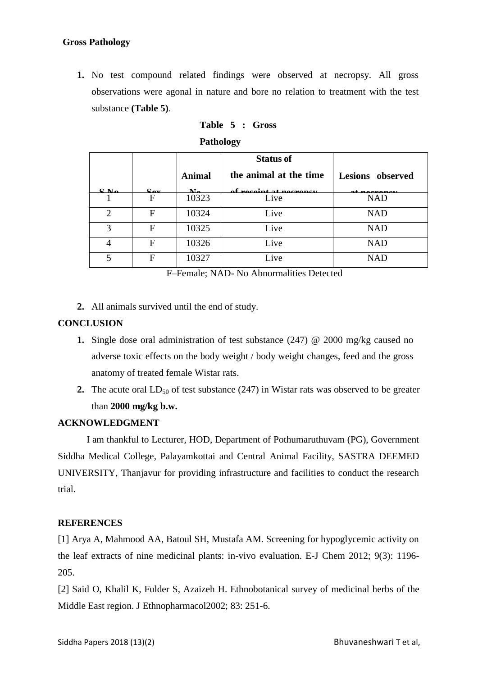**1.** No test compound related findings were observed at necropsy. All gross observations were agonal in nature and bore no relation to treatment with the test substance **(Table 5)**.

|                             |                                                 |                           | <b>Status of</b>        |                         |
|-----------------------------|-------------------------------------------------|---------------------------|-------------------------|-------------------------|
|                             |                                                 | <b>Animal</b>             | the animal at the time  | <b>Lesions</b> observed |
| $C$ $N_A$                   | $\mathbf{C}_{\mathbf{A} \mathbf{z} \mathbf{z}}$ | $\mathbf{M}_{\mathbf{a}}$ | of reggint of negronary |                         |
|                             | F                                               | 10323                     | Live                    | <b>NAD</b>              |
| $\mathcal{D}_{\mathcal{L}}$ | F                                               | 10324                     | Live                    | <b>NAD</b>              |
| 3                           | F                                               | 10325                     | Live                    | <b>NAD</b>              |
| 4                           | F                                               | 10326                     | Live                    | <b>NAD</b>              |
| 5                           | F                                               | 10327                     | Live                    | <b>NAD</b>              |

**Table 5 : Gross**

**Pathology**

F–Female; NAD- No Abnormalities Detected

**2.** All animals survived until the end of study.

## **CONCLUSION**

- **1.** Single dose oral administration of test substance (247) @ 2000 mg/kg caused no adverse toxic effects on the body weight / body weight changes, feed and the gross anatomy of treated female Wistar rats.
- **2.** The acute oral  $LD_{50}$  of test substance (247) in Wistar rats was observed to be greater than **2000 mg/kg b.w.**

## **ACKNOWLEDGMENT**

I am thankful to Lecturer, HOD, Department of Pothumaruthuvam (PG), Government Siddha Medical College, Palayamkottai and Central Animal Facility, SASTRA DEEMED UNIVERSITY, Thanjavur for providing infrastructure and facilities to conduct the research trial.

## **REFERENCES**

[1] Arya A, Mahmood AA, Batoul SH, Mustafa AM. Screening for hypoglycemic activity on the leaf extracts of nine medicinal plants: in-vivo evaluation. E-J Chem 2012; 9(3): 1196- 205.

[2] Said O, Khalil K, Fulder S, Azaizeh H. Ethnobotanical survey of medicinal herbs of the Middle East region. J Ethnopharmacol2002; 83: 251-6.